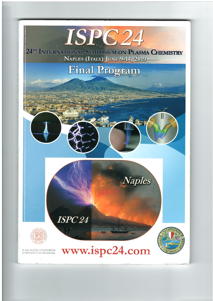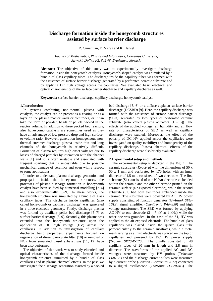# **Discharge formation inside the honeycomb structures assisted by surface barrier discharge**

R. Cimerman, E. Maťaš and K. Hensel

*Faculty of Mathematics, Physics and Informatics, Comenius University, Mlynská Dolina F2, 842 48, Bratislava, Slovakia*

**Abstract:** The objective of this study was to experimentally investigate discharge formation inside the honeycomb catalysts. Honeycomb-shaped catalyst was simulated by a bundle of glass capillary tubes. The discharge inside the capillary tubes was formed with the assistance of surface barrier discharge generated by a perforated ceramic substrate and by applying DC high voltage across the capillaries. We evaluated basic electrical and optical characteristics of the surface barrier discharge and capillary discharge as well.

**Keywords:** surface barrier discharge, capillary discharge, honeycomb catalyst

#### **1.Introduction**

In systems combining non-thermal plasma with catalysis, the catalyst can be present as a coating or as a layer on the plasma reactor walls or electrodes, or it can take the form of powder, beads or pellets packed in the reactor volume. In addition to these packed bed reactors, also honeycomb catalysts are sometimes used as they have an advantage of low pressure drop and high surfaceto-volume ratio. However, generation homogeneous nonthermal streamer discharge plasma inside thin and long channels of the honeycomb is relatively difficult. Formation of plasma requires high onset voltages due to losses of charged particles by interaction with the channel walls [1] and it is often unstable and associated with frequent sparking that is undesirable due to possible mechanical damage of ceramics and even with a respect to some applications.

In order to understand plasma discharge generation and propagation inside the honeycomb structures, the processes of plasma discharge formation in honeycomb catalyst have been studied by numerical modelling [2–4] and also experimentally [5–9]. In these works, the honeycomb structure was simulated by a bundle of glass capillary tubes. The discharge inside capillaries (also called honeycomb or capillary discharge) was generated in a three-electrode geometry. Firstly, discharge plasma was formed by auxiliary pellet bed discharge [5–7] or surface barrier discharge [8, 9]. Secondly, this plasma was extended into the honeycomb structure upon the application of DC high voltage (HV) across the capillaries. In addition to investigation of capillary discharge basic properties, experiments focused on regeneration of diesel particulate filter [10] or removal of NOx from simulated diesel exhaust gas [11, 12] have been also performed.

The objective of this work was to study electrical and optical characteristics of the discharge formed inside honeycomb structure simulated by a bundle of glass capillaries and its plasma chemical effects. In the past, we investigated the discharge generation assisted by a packed bed discharge [5, 6] or a diffuse coplanar surface barrier discharge (DCSBD) [9]. Here, the capillary discharge was formed with the assistance of surface barrier discharge (SBD) generated by two types of perforated ceramic substrate (also called plasma actuators [13–15]). The effects of the applied voltage, air humidity and air flow rate on characteristics of SBD as well as capillary discharge were studied. Moreover, the effect of the polarity of DC HV applied across the capillaries were investigated on quality (stability) and homogeneity of the capillary discharge. Plasma chemical effects of the capillary discharge were also briefly evaluated.

#### **2.Experimental setup and methods**

The experimental setup is depicted in the Fig. 1. The ceramic substrates (*Kyocera*) with the dimensions of 50 x 50 x 1 mm and perforated by 170 holes with an inner diameter of 1.5 mm, consisted of two electrodes. The first substrate (S1) consisted of one Ni/Au electrode embedded within the ceramic and the other electrode printed on the ceramic surface (air-exposed electrode), while the second substrate (S2) had both electrodes embedded inside the ceramic. The substrates were powered by AC HV power supply consisting of function generator (*GwInstek SFG-1013*), signal amplifier (*Omnitronic PAP-350*) and high voltage transformer. The SBD was formed by applying AC HV to one electrode  $(3 - 7)$  kV at 1 kHz) while the other one was grounded. In the case of the S1, HV was applied to the air-exposed electrode. The bundle of glass capillaries was placed inside the quartz glass tube perpendicularly to the ceramic substrates, while a metal mesh serving as a third electrode was placed on the top of capillaries and powered by DC HV power supply (*Technix SR20-R-1200*). The bundle consisted of 48 capillary tubes of 20 mm in length and 2.8 mm in diameter. The waveforms of the applied AC and DC voltages were measured by HV probes (*Tektronix P6015A*) and the discharge current pulses were measured by a current probe (*Pearson Electronics 2877*) connected to a digital oscilloscope (*Tektronix TDS2024C*). The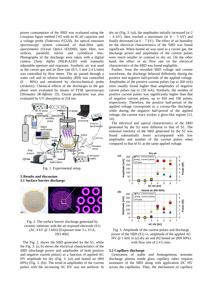power consumption of the SBD was evaluated using the Lissajous figure method [16] with an 82 nF capacitor and a voltage probe (*Tektronix P2220*). An optical emission spectroscopy system consisted of dual-fibre optic spectrometer (*Ocean Optics SD2000*), optic fibre, two orifices, parabolic mirror and cylindrical lens. Photographs of the discharge were taken with a digital camera (*Sony Alpha DSLR-A230)* with manually adjustable aperture and exposure. Synthetic air was used as the carrier gas and its flow rate (0.5, 1 and 2.4 L/min) was controlled by flow meter. The air passed through a water cell and its relative humidity (RH) was controlled (0 – 80%) and monitored by electrochemical probe (*Arduino*). Chemical effects of the discharges in the gas phase were evaluated by means of FTIR spectroscopy (*Shimadzu IR-Affinity 1S*). Ozone production was also evaluated by UV absorption at 254 nm.



Fig. 1. Experimental setup.

## **3.Results and discussion 3.1 Surface barrier discharge**



Fig. 2. The surface barrier discharge generated by ceramic substrate with the air-exposed electrode (S1)  $(AC 4 kV @ 1 kHz)$  [Exposure time 3 s, f/5.6, ISO 400].

The Fig. 2. shows the SBD generated by the S1, while the Fig. 3. (a, b) shows the electrical characteristics of the SBD (discharge power and amplitudes of both positive and negative current pulses) as a function of applied AC HV amplitude for dry (Fig. 3. (a)) and humid air (RH 60%) (Fig. 3. (b)). The trend in amplitudes of the current pulses with the increasing AC HV was not uniform. In dry air (Fig. 3. (a)), the amplitudes initially increased (at 2  $-4$  kV), then reached a maximum (at  $4 - 5$  kV) and finally decreased (at  $6 - 7$  kV). The effect of air humidity on the electrical characteristics of the SBD was found significant. When humid air was used as a carrier gas, the discharge power and amplitudes of the current pulses were much smaller in contrast to dry air. On the other hand, the effect of air flow rate on the electrical characteristics of the SBD was found negligible.

Further, from the recorded SBD voltage and current waveforms, the discharge behaved differently during the positive and negative half-periods of the applied voltage. Amplitudes of the positive current pulses (up to 260 mA) were usually found higher than amplitudes of negative current pulses (up to 150 mA). Similarly, the number of positive current pulses was significantly higher than that of negative current pulses, up to 450 and 100 pulses, respectively. Therefore, the positive half-period of the applied voltage corresponds to a corona-like discharge, while during the negative half-period of the applied voltage, the current trace evokes a glow-like regime [13, 14].

The electrical and optical characteristics of the SBD generated by the S2 were different to that of S1. The emission intensity of the SBD generated by the S2 was found substantially lower accompanied with low amplitudes and number of the current pulses when compared to that of S1 at the same applied voltage.



Fig. 3. Amplitude of the current pulses and discharge power of the SBD (S1) vs. amplitude of the applied AC HV @ 1 kHz in (a) dry air and (b) humid air (RH 60%) with flow rate of 2.4 L/min.

## **3.2 Capillary discharge**

Generation of stable and homogeneous streamer discharge plasma inside glass capillary tubes requires assistance of the SBD along with application DC HV across the capillaries. Thus, the mechanism of capillary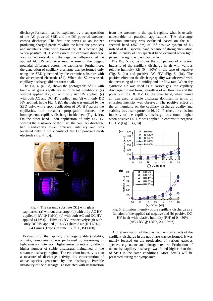discharge formation can be explained by a superposition of the AC powered SBD and the DC powered streamer corona discharge. The first one serves as an ionizer producing charged particles while the latter one produces and maintains ionic wind toward the DC electrode [6]. When positive DC HV was used, the capillary discharge was formed only during the negative half-period of the applied AC HV and vice-vesa, because of the biggest potential difference across the capillaries. Furthermore, the generation of capillary discharge was performed only using the SBD generated by the ceramic substrate with the air-exposed electrode (S1). When the S2 was used, capillary discharge did not form at all.

The Fig. 4.  $(a - d)$  shows the photographs of S1 with bundle of glass capillaries in different conditions: (a) without applied HV; (b) with only AC HV applied, (c) with both AC and DC HV applied, and (d) with only DC HV applied. In the Fig. 4. (b), the light was emitted by the SBD only, while upon application of DC HV across the capillaries, the streamer propagation formed the homogeneous capillary discharge inside them (Fig. 4. (c)). On the other hand, upon application of only DC HV without the assistance of the SBD, the capillary discharge had significantly lower emission intensity and was localised only in the vicinity of the DC powered mesh electrode (Fig. 4. (d)).



Fig. 4. The ceramic substrate (S1) with glass capillaries: (a) without discharge; (b) with only AC HV applied  $(4 \text{ kV } \omega 1 \text{ kHz})$ ; (c) with both AC and DC HV applied (4 kV  $\omega$  1 kHz; +14 kV, respectively); (d) with only DC HV applied (+14 kV) (humid air (RH 60%), 2.4 L/min) [Exposure time 8 s, f/5.6, ISO 400].

Evaluation of the capillary discharge quality (stability, activity, homogeneity) was performed by measuring its light emission intensity. Higher emission intensity reflects higher number of stable discharges maintained in the streamer discharge regime. The emission intensity is also a measure of discharge activity, i.e. concentration of active species generated by the discharge. Possible instability of the discharge is associated with its transition from the streamer to the spark regime, what is usually undesirable in practical applications. The discharge emission intensity was evaluated based on the 0–1 spectral band (357 nm) of  $2<sup>nd</sup>$  positive system of N<sub>2</sub> instead of 0–0 spectral band because of strong attenuation of the intensity of this spectral band occurred when light passed through the glass capillaries.

The Fig. 5. (a, b) shows the comparison of emission intensity of the capillary discharge in air with various relative humidity RH  $(0 - 80\%)$  in the case of negative (Fig. 5. (a)) and positive DC HV (Fig. 5. (b)). The positive effect on the discharge quality was observed with the increasing of air humidity and air flow rate. When dry synthetic air was used as a carrier gas, the capillary discharge did not form, regardless of air flow rate and the polarity of the DC HV. On the other hand, when humid air was used, a stable discharge dominant in terms of emission intensity was observed. The positive effect of the air humidity on the capillary discharge quality and stability was also reported in [6, 12]. Further, the emission intensity of the capillary discharge was found higher when positive DC HV was applied in contrast to negative DC HV (Fig. 5. (a, b)).



Fig. 5. Emission intensity of the capillary discharge as a function of the applied (a) negative and (b) positive DC HV in air with relative humidity  $(RH)$  of  $0 - 80\%$ (AC 4 kV @ 1 kHz, 2.4 L/min).

A brief evaluation of the plasma chemical effects of the capillary discharge in the gas phase was performed. It was mainly focused on the production of various gaseous species, e.g. ozone and nitrogen oxides. Production of ozone by capillary discharge was found higher than that of SBD in the same conditions. More details will be presented during the symposium.